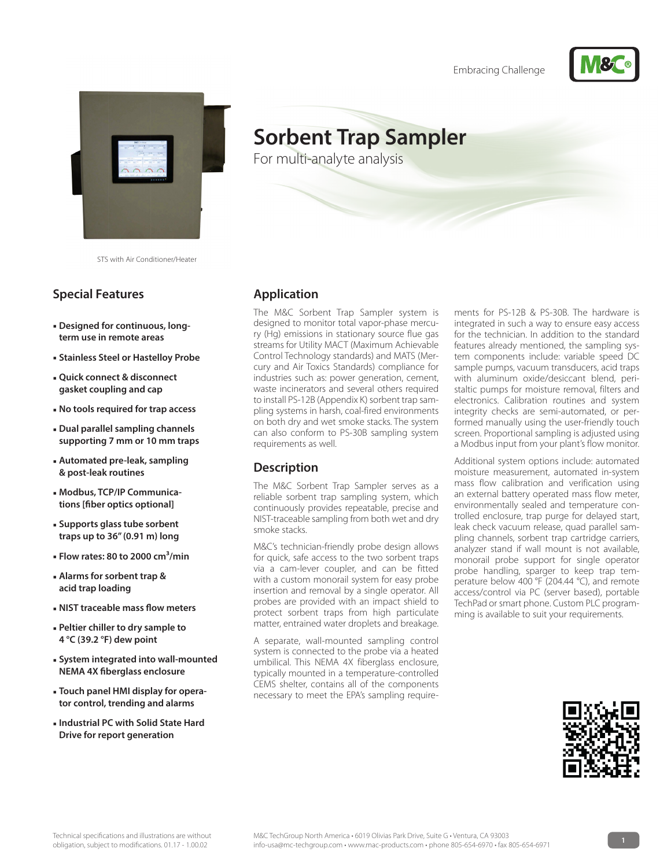Embracing Challenge





STS with Air Conditioner/Heater

## **Special Features**

- **Designed for continuous, longterm use in remote areas**
- **Stainless Steel or Hastelloy Probe**
- **Quick connect & disconnect gasket coupling and cap**
- **No tools required for trap access**
- **Dual parallel sampling channels supporting 7 mm or 10 mm traps**
- **Automated pre-leak, sampling & post-leak routines**
- **Modbus, TCP/IP Communications [fiber optics optional]**
- **Supports glass tube sorbent traps up to 36" (0.91 m) long**
- **Flow rates: 80 to 2000 cm³/min**
- **Alarms for sorbent trap & acid trap loading**
- **NIST traceable mass flow meters**
- **Peltier chiller to dry sample to 4 °C (39.2 °F) dew point**
- **System integrated into wall-mounted NEMA 4X fiberglass enclosure**
- **Touch panel HMI display for operator control, trending and alarms**
- **Industrial PC with Solid State Hard Drive for report generation**

# **Sorbent Trap Sampler**

For multi-analyte analysis

#### **Application**

The M&C Sorbent Trap Sampler system is designed to monitor total vapor-phase mercury (Hg) emissions in stationary source flue gas streams for Utility MACT (Maximum Achievable Control Technology standards) and MATS (Mercury and Air Toxics Standards) compliance for industries such as: power generation, cement, waste incinerators and several others required to install PS-12B (Appendix K) sorbent trap sampling systems in harsh, coal-fired environments on both dry and wet smoke stacks. The system can also conform to PS-30B sampling system requirements as well.

#### **Description**

The M&C Sorbent Trap Sampler serves as a reliable sorbent trap sampling system, which continuously provides repeatable, precise and NIST-traceable sampling from both wet and dry smoke stacks.

M&C's technician-friendly probe design allows for quick, safe access to the two sorbent traps via a cam-lever coupler, and can be fitted with a custom monorail system for easy probe insertion and removal by a single operator. All probes are provided with an impact shield to protect sorbent traps from high particulate matter, entrained water droplets and breakage.

A separate, wall-mounted sampling control system is connected to the probe via a heated umbilical. This NEMA 4X fiberglass enclosure, typically mounted in a temperature-controlled CEMS shelter, contains all of the components necessary to meet the EPA's sampling requirements for PS-12B & PS-30B. The hardware is integrated in such a way to ensure easy access for the technician. In addition to the standard features already mentioned, the sampling system components include: variable speed DC sample pumps, vacuum transducers, acid traps with aluminum oxide/desiccant blend, peristaltic pumps for moisture removal, filters and electronics. Calibration routines and system integrity checks are semi-automated, or performed manually using the user-friendly touch screen. Proportional sampling is adjusted using a Modbus input from your plant's flow monitor.

Additional system options include: automated moisture measurement, automated in-system mass flow calibration and verification using an external battery operated mass flow meter, environmentally sealed and temperature controlled enclosure, trap purge for delayed start, leak check vacuum release, quad parallel sampling channels, sorbent trap cartridge carriers, analyzer stand if wall mount is not available, monorail probe support for single operator probe handling, sparger to keep trap temperature below 400 °F (204.44 °C), and remote access/control via PC (server based), portable TechPad or smart phone. Custom PLC programming is available to suit your requirements.